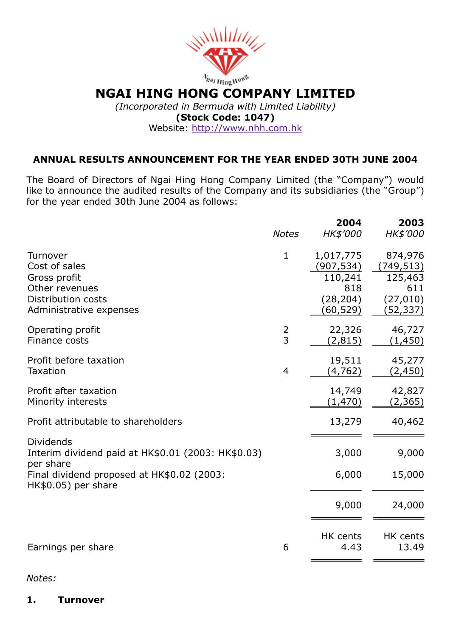# $N_{g_{q_I}H_{{\rm ring}H}^{\bullet}$  and  $N_{\rm G}$  and  $N_{\rm G}$  and  $N_{\rm G}$  and  $N_{\rm G}$  and  $N_{\rm G}$  and  $N_{\rm G}$  and  $N_{\rm G}$  and  $N_{\rm G}$  and  $N_{\rm G}$  and  $N_{\rm G}$  and  $N_{\rm G}$  and  $N_{\rm G}$  are  $N_{\rm G}$  and  $N_{\rm G}$  are  $N_{\rm G}$  and (Incorporated in Bermuda with Limited Liability) (Stock Code: 1047) Website: [http://www.nhh.com.hk](http://www.nhh.com.hk/)

# ANNUAL RESULTS ANNOUNCEMENT FOR THE YEAR ENDED 30TH JUNE 2004

The Board of Directors of Ngai Hing Hong Company Limited (the "Company") would like to announce the audited results of the Company and its subsidiaries (the "Group") for the year ended 30th June 2004 as follows:

|                                                                                                                                                          | <b>Notes</b>   | 2004<br>HK\$'000                                                  | 2003<br>HK\$'000                                                  |
|----------------------------------------------------------------------------------------------------------------------------------------------------------|----------------|-------------------------------------------------------------------|-------------------------------------------------------------------|
| Turnover<br>Cost of sales<br>Gross profit<br>Other revenues<br>Distribution costs<br>Administrative expenses                                             | $\mathbf{1}$   | 1,017,775<br>(907,534)<br>110,241<br>818<br>(28, 204)<br>(60,529) | 874,976<br>(749, 513)<br>125,463<br>611<br>(27, 010)<br>(52, 337) |
| Operating profit<br>Finance costs                                                                                                                        | $\frac{2}{3}$  | 22,326<br><u>(2,815)</u>                                          | 46,727<br>(1,450)                                                 |
| Profit before taxation<br><b>Taxation</b>                                                                                                                | $\overline{4}$ | 19,511<br>(4,762)                                                 | 45,277<br>(2,450)                                                 |
| Profit after taxation<br>Minority interests                                                                                                              |                | 14,749<br>(1,470)                                                 | 42,827<br>(2,365)                                                 |
| Profit attributable to shareholders                                                                                                                      |                | 13,279                                                            | 40,462                                                            |
| <b>Dividends</b><br>Interim dividend paid at HK\$0.01 (2003: HK\$0.03)<br>per share<br>Final dividend proposed at HK\$0.02 (2003:<br>HK\$0.05) per share |                | 3,000<br>6,000                                                    | 9,000<br>15,000                                                   |
|                                                                                                                                                          |                | 9,000                                                             | 24,000                                                            |
| Earnings per share                                                                                                                                       | 6              | HK cents<br>4.43                                                  | HK cents<br>13.49                                                 |

#### Notes:

#### 1. Turnover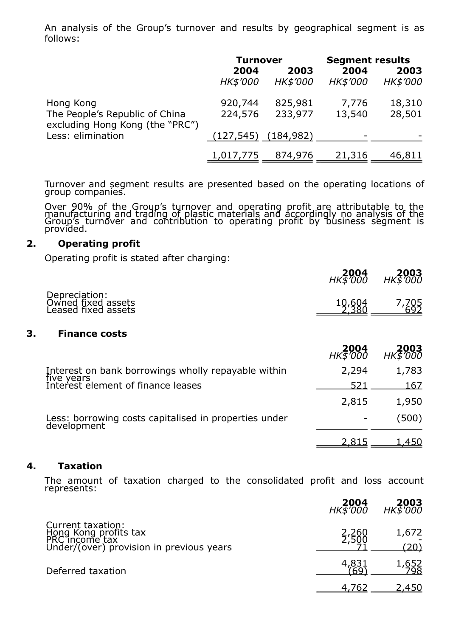An analysis of the Group's turnover and results by geographical segment is as follows:

|                                                                   | <b>Turnover</b> |            | <b>Segment results</b> |          |
|-------------------------------------------------------------------|-----------------|------------|------------------------|----------|
|                                                                   | 2004            | 2003       | 2004                   | 2003     |
|                                                                   | <b>HK\$'000</b> | HK\$'000   | HK\$'000               | HK\$'000 |
| Hong Kong                                                         | 920,744         | 825,981    | 7,776                  | 18,310   |
| The People's Republic of China<br>excluding Hong Kong (the "PRC") | 224,576         | 233,977    | 13,540                 | 28,501   |
| Less: elimination                                                 | (127, 545)      | (184, 982) |                        |          |
|                                                                   | 1,017,775       | 874,976    | 21,316                 | 46,811   |

Turnover and segment results are presented based on the operating locations of group companies.

Over 90% of the Group's turnover and operating profit are attributable to the manufacturing and trading of plastic materials and accordingly no analysis of the Group's turnover and contribution to operating profit by business segment is provided.

#### 2. Operating profit

Operating profit is stated after charging:

|    |                                                            | <b>2004</b><br>HK\$'000 | <b>2003</b><br>HK\$'000 |
|----|------------------------------------------------------------|-------------------------|-------------------------|
|    | Depreciation:<br>Owned fixed assets<br>Leased fixed assets | 10,604                  | 7,705<br>692            |
| 3. | <b>Finance costs</b>                                       |                         |                         |
|    |                                                            | <b>2004</b><br>HK\$'000 | <b>2003</b><br>HK\$'000 |
|    | Interest on bank borrowings wholly repayable within        | 2,294                   | 1,783                   |

| five years<br>Interest element of finance leases                     | 521          | 167   |
|----------------------------------------------------------------------|--------------|-------|
|                                                                      | 2,815        | 1,950 |
| Less: borrowing costs capitalised in properties under<br>development |              | (500) |
|                                                                      | <u>2.815</u> | 1,450 |

#### 4. Taxation

The amount of taxation charged to the consolidated profit and loss account represents:

|                                                                                                          | <b>2004</b><br>HK\$'000 | <b>2003</b><br>HK\$'000 |
|----------------------------------------------------------------------------------------------------------|-------------------------|-------------------------|
| Current taxation:<br>Hong Kong profits tax<br>PRC income tax<br>Under/(over) provision in previous years |                         | 1,672<br><u> 20)</u>    |
| Deferred taxation                                                                                        |                         | .652<br>798             |
|                                                                                                          | 762                     | 2.450                   |

Hong Kong profits tax has been provided at the rate of 17.5% (2003: 17.5%) on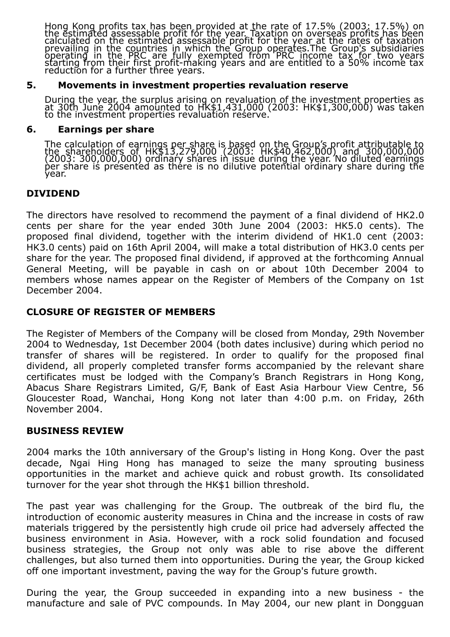Hong Kong profits tax has been provided at the rate of 17.5% (2003; 17.5%) on the estimated assessable profit for the year. Taxation on overseas profits has been calculated on the estimated assessable profit for the year at the rates of taxation prevailing in the countries in which the Group operates.The Group's subsidiaries operating in the PRC are fully exempted from PRC income tax for two years starting from their first profit-making years and are entitled to a 50% income tax reduction for a further three years.

#### 5. Movements in investment properties revaluation reserve

During the year, the surplus arising on revaluation of the investment properties as at 30th June 2004 amounted to HK\$1,431,000 (2003: HK\$1,300,000) was taken to the investment properties revaluation reserve.

#### 6. Earnings per share

The calculation of earnings per share is based on the Group's profit attributable to the shareholders of HK\$13,279,000 (2003: HK\$40,462,000) and 300,000,000 (2003: 300,000,000) ordinary shares in issue during the year. No diluted earnings per share is presented as there is no dilutive potential ordinary share during the year.

# DIVIDEND

The directors have resolved to recommend the payment of a final dividend of HK2.0 cents per share for the year ended 30th June 2004 (2003: HK5.0 cents). The proposed final dividend, together with the interim dividend of HK1.0 cent (2003: HK3.0 cents) paid on 16th April 2004, will make a total distribution of HK3.0 cents per share for the year. The proposed final dividend, if approved at the forthcoming Annual General Meeting, will be payable in cash on or about 10th December 2004 to members whose names appear on the Register of Members of the Company on 1st December 2004.

# CLOSURE OF REGISTER OF MEMBERS

The Register of Members of the Company will be closed from Monday, 29th November 2004 to Wednesday, 1st December 2004 (both dates inclusive) during which period no transfer of shares will be registered. In order to qualify for the proposed final dividend, all properly completed transfer forms accompanied by the relevant share certificates must be lodged with the Company's Branch Registrars in Hong Kong, Abacus Share Registrars Limited, G/F, Bank of East Asia Harbour View Centre, 56 Gloucester Road, Wanchai, Hong Kong not later than 4:00 p.m. on Friday, 26th November 2004.

# BUSINESS REVIEW

2004 marks the 10th anniversary of the Group's listing in Hong Kong. Over the past decade, Ngai Hing Hong has managed to seize the many sprouting business opportunities in the market and achieve quick and robust growth. Its consolidated turnover for the year shot through the HK\$1 billion threshold.

The past year was challenging for the Group. The outbreak of the bird flu, the introduction of economic austerity measures in China and the increase in costs of raw materials triggered by the persistently high crude oil price had adversely affected the business environment in Asia. However, with a rock solid foundation and focused business strategies, the Group not only was able to rise above the different challenges, but also turned them into opportunities. During the year, the Group kicked off one important investment, paving the way for the Group's future growth.

During the year, the Group succeeded in expanding into a new business - the manufacture and sale of PVC compounds. In May 2004, our new plant in Dongguan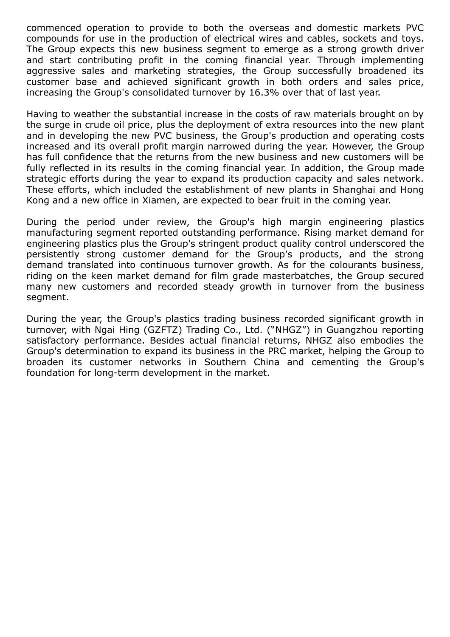commenced operation to provide to both the overseas and domestic markets PVC compounds for use in the production of electrical wires and cables, sockets and toys. The Group expects this new business segment to emerge as a strong growth driver and start contributing profit in the coming financial year. Through implementing aggressive sales and marketing strategies, the Group successfully broadened its customer base and achieved significant growth in both orders and sales price, increasing the Group's consolidated turnover by 16.3% over that of last year.

Having to weather the substantial increase in the costs of raw materials brought on by the surge in crude oil price, plus the deployment of extra resources into the new plant and in developing the new PVC business, the Group's production and operating costs increased and its overall profit margin narrowed during the year. However, the Group has full confidence that the returns from the new business and new customers will be fully reflected in its results in the coming financial year. In addition, the Group made strategic efforts during the year to expand its production capacity and sales network. These efforts, which included the establishment of new plants in Shanghai and Hong Kong and a new office in Xiamen, are expected to bear fruit in the coming year.

During the period under review, the Group's high margin engineering plastics manufacturing segment reported outstanding performance. Rising market demand for engineering plastics plus the Group's stringent product quality control underscored the persistently strong customer demand for the Group's products, and the strong demand translated into continuous turnover growth. As for the colourants business, riding on the keen market demand for film grade masterbatches, the Group secured many new customers and recorded steady growth in turnover from the business segment.

During the year, the Group's plastics trading business recorded significant growth in turnover, with Ngai Hing (GZFTZ) Trading Co., Ltd. ("NHGZ") in Guangzhou reporting satisfactory performance. Besides actual financial returns, NHGZ also embodies the Group's determination to expand its business in the PRC market, helping the Group to broaden its customer networks in Southern China and cementing the Group's foundation for long-term development in the market.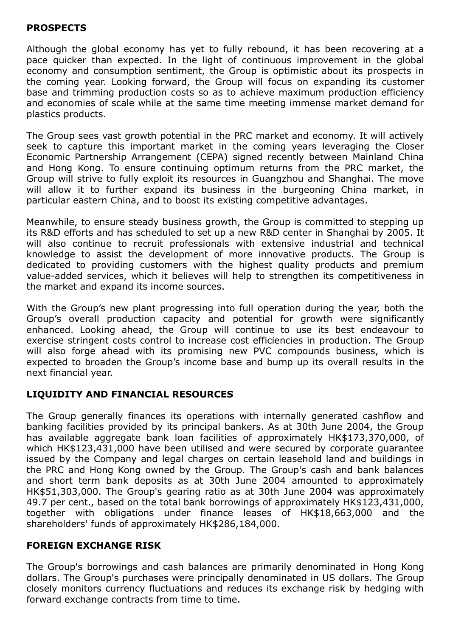# PROSPECTS

Although the global economy has yet to fully rebound, it has been recovering at a pace quicker than expected. In the light of continuous improvement in the global economy and consumption sentiment, the Group is optimistic about its prospects in the coming year. Looking forward, the Group will focus on expanding its customer base and trimming production costs so as to achieve maximum production efficiency and economies of scale while at the same time meeting immense market demand for plastics products.

The Group sees vast growth potential in the PRC market and economy. It will actively seek to capture this important market in the coming years leveraging the Closer Economic Partnership Arrangement (CEPA) signed recently between Mainland China and Hong Kong. To ensure continuing optimum returns from the PRC market, the Group will strive to fully exploit its resources in Guangzhou and Shanghai. The move will allow it to further expand its business in the burgeoning China market, in particular eastern China, and to boost its existing competitive advantages.

Meanwhile, to ensure steady business growth, the Group is committed to stepping up its R&D efforts and has scheduled to set up a new R&D center in Shanghai by 2005. It will also continue to recruit professionals with extensive industrial and technical knowledge to assist the development of more innovative products. The Group is dedicated to providing customers with the highest quality products and premium value-added services, which it believes will help to strengthen its competitiveness in the market and expand its income sources.

With the Group's new plant progressing into full operation during the year, both the Group's overall production capacity and potential for growth were significantly enhanced. Looking ahead, the Group will continue to use its best endeavour to exercise stringent costs control to increase cost efficiencies in production. The Group will also forge ahead with its promising new PVC compounds business, which is expected to broaden the Group's income base and bump up its overall results in the next financial year.

# LIQUIDITY AND FINANCIAL RESOURCES

The Group generally finances its operations with internally generated cashflow and banking facilities provided by its principal bankers. As at 30th June 2004, the Group has available aggregate bank loan facilities of approximately HK\$173,370,000, of which HK\$123,431,000 have been utilised and were secured by corporate guarantee issued by the Company and legal charges on certain leasehold land and buildings in the PRC and Hong Kong owned by the Group. The Group's cash and bank balances and short term bank deposits as at 30th June 2004 amounted to approximately HK\$51,303,000. The Group's gearing ratio as at 30th June 2004 was approximately 49.7 per cent., based on the total bank borrowings of approximately HK\$123,431,000, together with obligations under finance leases of HK\$18,663,000 and the shareholders' funds of approximately HK\$286,184,000.

# FOREIGN EXCHANGE RISK

The Group's borrowings and cash balances are primarily denominated in Hong Kong dollars. The Group's purchases were principally denominated in US dollars. The Group closely monitors currency fluctuations and reduces its exchange risk by hedging with forward exchange contracts from time to time.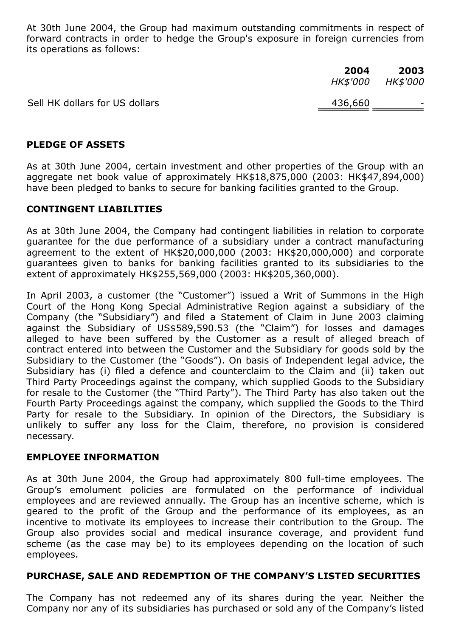At 30th June 2004, the Group had maximum outstanding commitments in respect of forward contracts in order to hedge the Group's exposure in foreign currencies from its operations as follows:

| 2004            | 2003            |
|-----------------|-----------------|
| <i>HK\$'000</i> | <i>HK\$'000</i> |
|                 |                 |

Sell HK dollars for US dollars and the control of the control of the control of the control of the control of the control of the control of the control of the control of the control of the control of the control of the con

#### PLEDGE OF ASSETS

As at 30th June 2004, certain investment and other properties of the Group with an aggregate net book value of approximately HK\$18,875,000 (2003: HK\$47,894,000) have been pledged to banks to secure for banking facilities granted to the Group.

#### CONTINGENT LIABILITIES

As at 30th June 2004, the Company had contingent liabilities in relation to corporate guarantee for the due performance of a subsidiary under a contract manufacturing agreement to the extent of HK\$20,000,000 (2003: HK\$20,000,000) and corporate guarantees given to banks for banking facilities granted to its subsidiaries to the extent of approximately HK\$255,569,000 (2003: HK\$205,360,000).

In April 2003, a customer (the "Customer") issued a Writ of Summons in the High Court of the Hong Kong Special Administrative Region against a subsidiary of the Company (the "Subsidiary") and filed a Statement of Claim in June 2003 claiming against the Subsidiary of US\$589,590.53 (the "Claim") for losses and damages alleged to have been suffered by the Customer as a result of alleged breach of contract entered into between the Customer and the Subsidiary for goods sold by the Subsidiary to the Customer (the "Goods"). On basis of Independent legal advice, the Subsidiary has (i) filed a defence and counterclaim to the Claim and (ii) taken out Third Party Proceedings against the company, which supplied Goods to the Subsidiary for resale to the Customer (the "Third Party"). The Third Party has also taken out the Fourth Party Proceedings against the company, which supplied the Goods to the Third Party for resale to the Subsidiary. In opinion of the Directors, the Subsidiary is unlikely to suffer any loss for the Claim, therefore, no provision is considered necessary.

#### EMPLOYEE INFORMATION

As at 30th June 2004, the Group had approximately 800 full-time employees. The Group's emolument policies are formulated on the performance of individual employees and are reviewed annually. The Group has an incentive scheme, which is geared to the profit of the Group and the performance of its employees, as an incentive to motivate its employees to increase their contribution to the Group. The Group also provides social and medical insurance coverage, and provident fund scheme (as the case may be) to its employees depending on the location of such employees.

# PURCHASE, SALE AND REDEMPTION OF THE COMPANY'S LISTED SECURITIES

The Company has not redeemed any of its shares during the year. Neither the Company nor any of its subsidiaries has purchased or sold any of the Company's listed